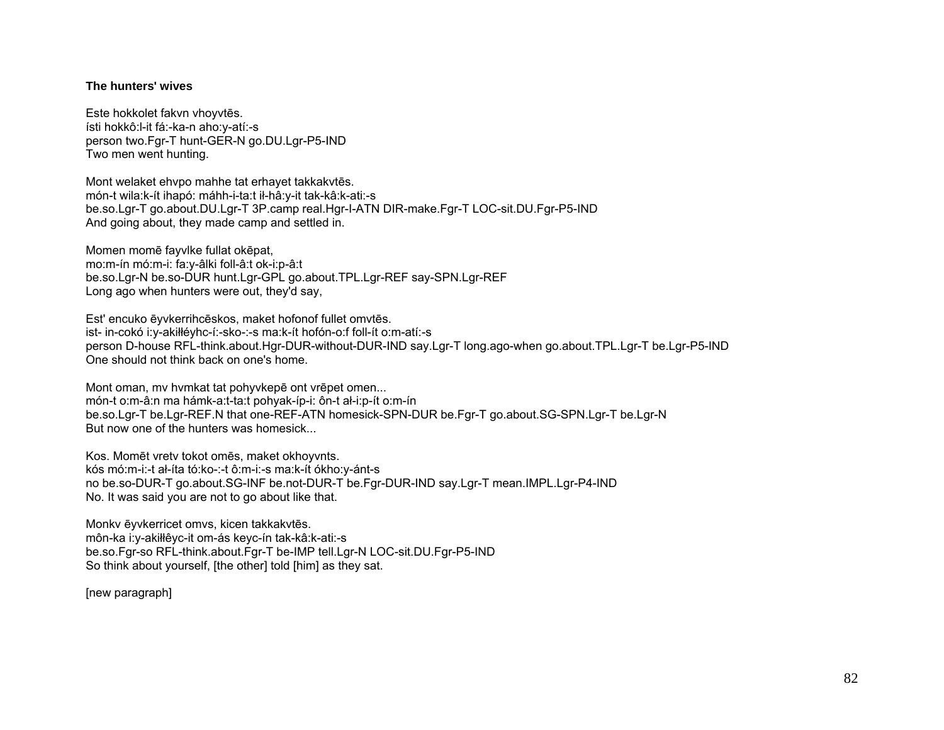## The hunters' wives

Este hokkolet fakvn vhovytēs. ísti hokkô: l-it fá:-ka-n aho: y-atí:-s person two.Fgr-T hunt-GER-N go.DU.Lgr-P5-IND Two men went hunting.

Mont welaket ehvpo mahhe tat erhavet takkakytes. món-t wila:k-ít ihapó: máhh-i-ta:t ił-hâ:y-it tak-kâ:k-ati:-s be.so.Lgr-T go.about.DU.Lgr-T 3P.camp real.Hgr-I-ATN DIR-make.Fgr-T LOC-sit.DU.Fgr-P5-IND And going about, they made camp and settled in.

Momen momē fayvike fullat okēpat, mo:m-ín mó:m-i: fa:y-âlki foll-â:t ok-i:p-â:t be.so.Lgr-N be.so-DUR hunt.Lgr-GPL go.about.TPL.Lgr-REF say-SPN.Lgr-REF Long ago when hunters were out, they'd say,

Est' encuko ēyvkerrihcēskos, maket hofonof fullet omvtēs. ist- in-cokó i:y-akiłłéyhc-í:-sko-:-s ma:k-ít hofón-o:f foll-ít o:m-atí:-s person D-house RFL-think.about.Hgr-DUR-without-DUR-IND say.Lgr-T long.ago-when go.about.TPL.Lgr-T be.Lgr-P5-IND One should not think back on one's home

Mont oman, my hymkat tat pohyvkepe ont vrepet omen... món-t o:m-â:n ma hámk-a:t-ta:t pohyak-íp-i: ôn-t al-i:p-ít o:m-ín be.so.Lgr-T be.Lgr-REF.N that one-REF-ATN homesick-SPN-DUR be.Fgr-T go.about.SG-SPN.Lgr-T be.Lgr-N But now one of the hunters was homesick...

Kos. Momēt vretv tokot omēs, maket okhoyvnts. kós mó:m-i:-t ał-íta tó:ko-:-t ô:m-i:-s ma:k-ít ókho:y-ánt-s no be.so-DUR-T go.about.SG-INF be.not-DUR-T be.Fgr-DUR-IND say.Lgr-T mean.IMPL.Lgr-P4-IND No. It was said you are not to go about like that.

Monky ēyvkerricet omvs, kicen takkakytēs. môn-ka i: y-akiłłê yc-it om-ás keyc-ín tak-kâ: k-ati:-s be.so.Fgr-so RFL-think.about.Fgr-T be-IMP tell.Lgr-N LOC-sit.DU.Fgr-P5-IND So think about yourself, [the other] told [him] as they sat.

[new paragraph]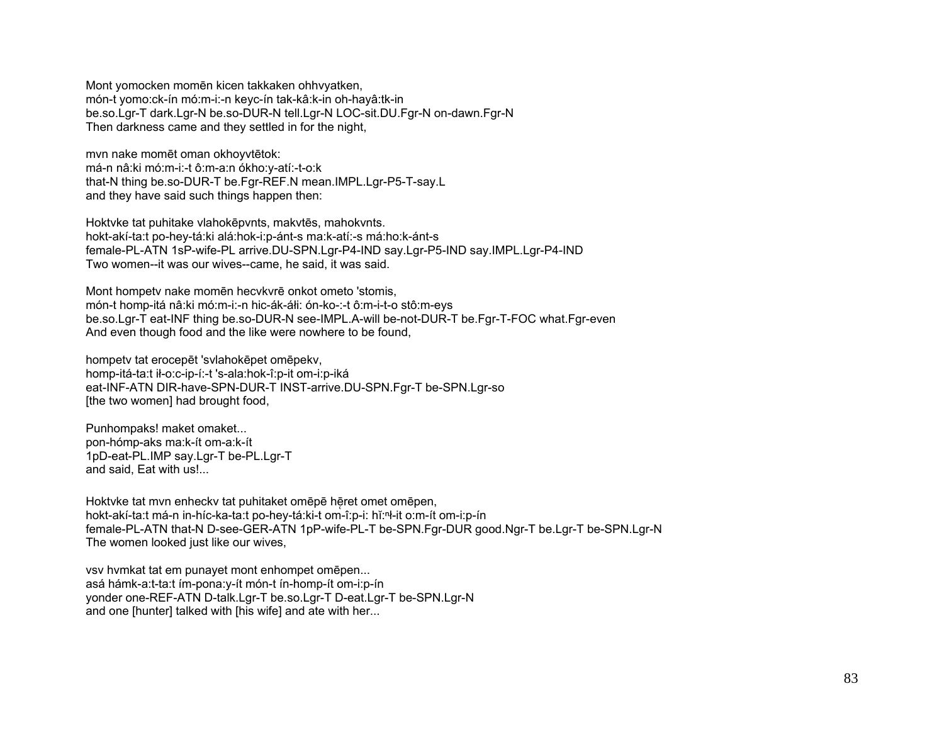Mont yomocken momēn kicen takkaken ohhvyatken, món-t yomo:ck-ín mó:m-i:-n keyc-ín tak-kâ:k-in oh-hayâ:tk-in be.so.Lgr-T dark.Lgr-N be.so-DUR-N tell.Lgr-N LOC-sit.DU.Fgr-N on-dawn.Fgr-N Then darkness came and they settled in for the night,

mvn nake momēt oman okhoyvtētok: má-n nâ:ki mó:m-i:-t ô:m-a:n ókho:y-atí:-t-o:k that-N thing be.so-DUR-T be.Fgr-REF.N mean.IMPL.Lgr-P5-T-say.L and they have said such things happen then:

Hoktvke tat puhitake vlahokēpvnts, makvtēs, mahokvnts. hokt-akí-ta:t po-hey-tá:ki alá:hok-i:p-ánt-s ma:k-atí:-s má:ho:k-ánt-s female-PL-ATN 1sP-wife-PL arrive.DU-SPN.Lgr-P4-IND say.Lgr-P5-IND say.IMPL.Lgr-P4-IND Two women--it was our wives--came, he said, it was said.

Mont hompetv nake momēn hecvkvrē onkot ometo 'stomis, món-t homp-itá nâ:ki mó:m-i:-n hic-ák-áłi: ón-ko-:-t ô:m-i-t-o stô:m-eys be.so.Lgr-T eat-INF thing be.so-DUR-N see-IMPL.A-will be-not-DUR-T be.Fgr-T-FOC what.Fgr-even And even though food and the like were nowhere to be found,

hompetv tat erocepēt 'svlahokēpet omēpekv, homp-itá-ta:t ił-o:c-ip-í:-t 's-ala:hok-î:p-it om-i:p-iká eat-INF-ATN DIR-have-SPN-DUR-T INST-arrive.DU-SPN.Fgr-T be-SPN.Lgr-so [the two women] had brought food,

Punhompaks! maket omaket... pon-hómp-aks ma:k-ít om-a:k-ít 1pD-eat-PL.IMP say.Lgr-T be-PL.Lgr-T and said, Eat with us!...

Hoktvke tat mvn enheckv tat puhitaket omēpē hēret omet omēpen, hokt-akí-ta:t má-n in-híc-ka-ta:t po-hey-tá:ki-t om-î:p-i: hĭ:ⁿł-it o:m-ít om-i:p-ín female-PL-ATN that-N D-see-GER-ATN 1pP-wife-PL-T be-SPN.Fgr-DUR good.Ngr-T be.Lgr-T be-SPN.Lgr-N The women looked just like our wives,

vsv hvmkat tat em punayet mont enhompet omēpen... asá hámk-a:t-ta:t ím-pona:y-ít món-t ín-homp-ít om-i:p-ín yonder one-REF-ATN D-talk.Lgr-T be.so.Lgr-T D-eat.Lgr-T be-SPN.Lgr-N and one [hunter] talked with [his wife] and ate with her...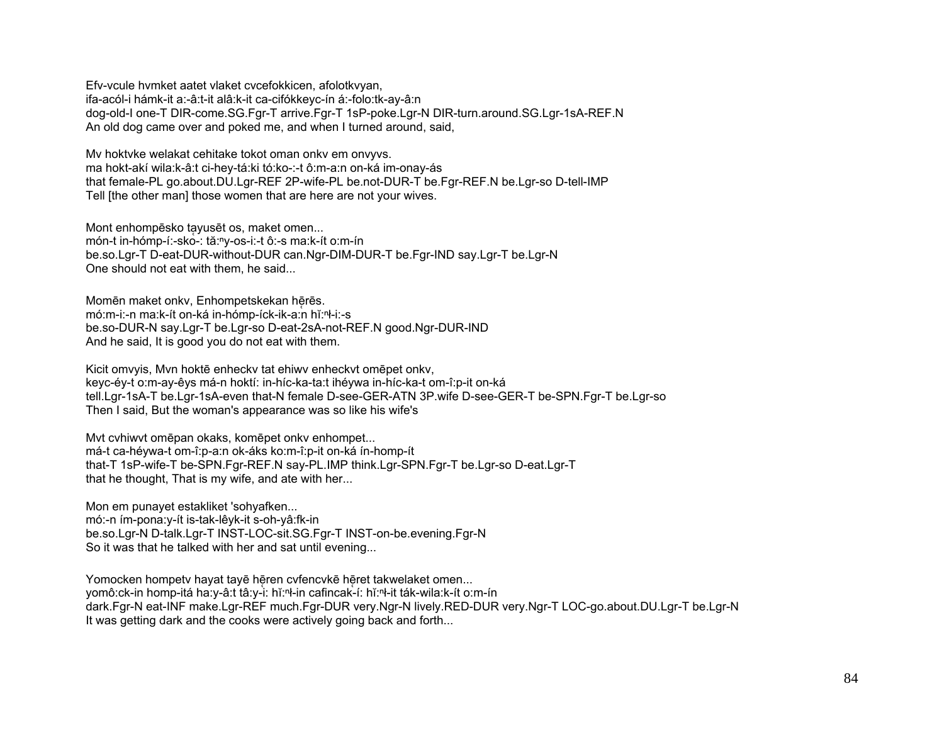Efv-vcule hymket aatet vlaket cycefokkicen, afolotkyyan, ifa-acól-i hámk-it a:-â:t-it alâ:k-it ca-cifókkevc-ín á:-folo:tk-av-â:n dog-old-I one-T DIR-come.SG.Fgr-T arrive.Fgr-T 1sP-poke.Lgr-N DIR-turn.around.SG.Lgr-1sA-REF.N An old dog came over and poked me, and when I turned around, said,

My hoktyke welakat cehitake tokot oman onky em onvyys. ma hokt-akí wila:k-â:t ci-hey-tá:ki tó:ko-:-t ô:m-a:n on-ká im-onay-ás that female-PL go.about.DU.Lgr-REF 2P-wife-PL be.not-DUR-T be.Fgr-REF.N be.Lgr-so D-tell-IMP Tell [the other man] those women that are here are not your wives.

Mont enhompēsko tayusēt os, maket omen... món-t in-hómp-í:-sko-: tă:<sup>n</sup>y-os-i:-t ô:-s ma:k-ít o:m-ín be.so.Lgr-T D-eat-DUR-without-DUR can.Ngr-DIM-DUR-T be.Fgr-IND say.Lgr-T be.Lgr-N One should not eat with them, he said...

Momēn maket onkv, Enhompetskekan hērēs. mó:m-i:-n ma:k-ít on-ká in-hómp-íck-ik-a:n hĭ:<sup>n</sup>ł-i:-s be.so-DUR-N say.Lgr-T be.Lgr-so D-eat-2sA-not-REF.N good.Ngr-DUR-IND And he said, It is good you do not eat with them.

Kicit omvyis, Myn hoktē enhecky tat ehiwy enheckyt omepet onky, keyc-éy-t o:m-ay-êys má-n hoktí: in-híc-ka-ta:t ihéywa in-híc-ka-t om-î:p-it on-ká tell.Lgr-1sA-T be.Lgr-1sA-even that-N female D-see-GER-ATN 3P.wife D-see-GER-T be-SPN.Fgr-T be.Lgr-so Then I said, But the woman's appearance was so like his wife's

Myt cyhiwyt omēpan okaks, komēpet onky enhompet...

má-t ca-héywa-t om-î:p-a:n ok-áks ko:m-î:p-it on-ká ín-homp-ít that-T 1sP-wife-T be-SPN.Fgr-REF.N say-PL.IMP think.Lgr-SPN.Fgr-T be.Lgr-so D-eat.Lgr-T that he thought, That is my wife, and ate with her...

Mon em punayet estakliket 'sohyafken... mó:-n ím-pona:y-ít is-tak-lêyk-it s-oh-yâ:fk-in be.so.Lgr-N D-talk.Lgr-T INST-LOC-sit.SG.Fgr-T INST-on-be.evening.Fgr-N So it was that he talked with her and sat until evening...

Yomocken hompety hayat tayē hēren cyfencykē hēret takwelaket omen... yomô:ck-in homp-itá ha:y-â:t tâ:y-i: hǐ:ʰ-in cafincak-í: hǐ:ʰ-it ták-wila:k-ít o:m-ín dark.Fgr-N eat-INF make.Lgr-REF much.Fgr-DUR very.Ngr-N lively.RED-DUR very.Ngr-T LOC-go.about.DU.Lgr-T be.Lgr-N It was getting dark and the cooks were actively going back and forth...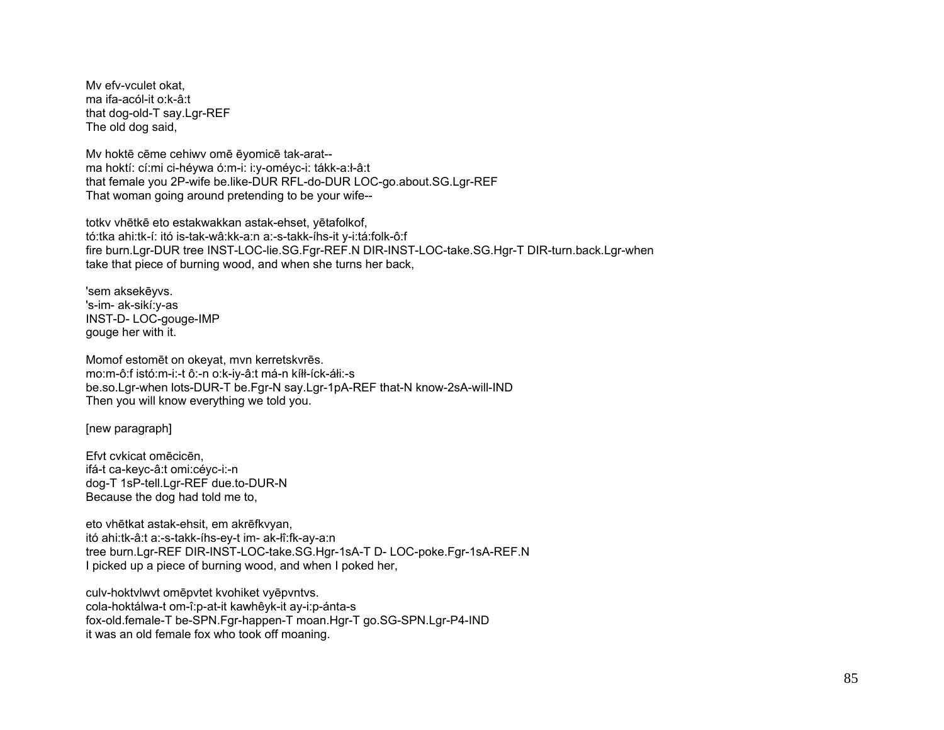Mv efv-vculet okat. ma ifa-acól-it o:k-â:t that dog-old-T say.Lgr-REF The old dog said,

My hoktē cēme cehiwy omē ēyomicē tak-arat-ma hoktí: cí:mi ci-héywa ó:m-i: i:y-oméyc-i: tákk-a:ł-â:t that female you 2P-wife be.like-DUR RFL-do-DUR LOC-go.about.SG.Lgr-REF That woman going around pretending to be your wife--

totky vhētkē eto estakwakkan astak-ehset, yētafolkof, tó:tka ahi:tk-í: itó is-tak-wâ:kk-a:n a:-s-takk-íhs-it y-i:tá:folk-ô:f fire burn.Lgr-DUR tree INST-LOC-lie.SG.Fgr-REF.N DIR-INST-LOC-take.SG.Hgr-T DIR-turn.back.Lgr-when take that piece of burning wood, and when she turns her back,

'sem aksekēvvs. 's-im- ak-sikí:v-as INST-D-LOC-gouge-IMP gouge her with it.

Momof estomēt on okevat, mvn kerretskvrēs. mo:m-ô:f istó:m-i:-t ô:-n o:k-iy-â:t má-n kíłł-íck-áłi:-s be.so.Lgr-when lots-DUR-T be.Fgr-N say.Lgr-1pA-REF that-N know-2sA-will-IND Then you will know everything we told you.

[new paragraph]

Efvt cvkicat omēcicēn. ifá-t ca-keyc-â:t omi:céyc-i:-n dog-T 1sP-tell.Lgr-REF due.to-DUR-N Because the dog had told me to,

eto vhētkat astak-ehsit, em akrēfkvyan, itó ahi:tk-â:t a:-s-takk-íhs-ey-t im- ak-lî:fk-ay-a:n tree burn.Lgr-REF DIR-INST-LOC-take.SG.Hgr-1sA-T D- LOC-poke.Fgr-1sA-REF.N I picked up a piece of burning wood, and when I poked her,

culv-hoktvlwvt omēpvtet kvohiket vyēpvntvs. cola-hoktálwa-t om-î:p-at-it kawhêyk-it ay-i:p-ánta-s fox-old.female-T be-SPN.Fgr-happen-T moan.Hgr-T go.SG-SPN.Lgr-P4-IND it was an old female fox who took off moaning.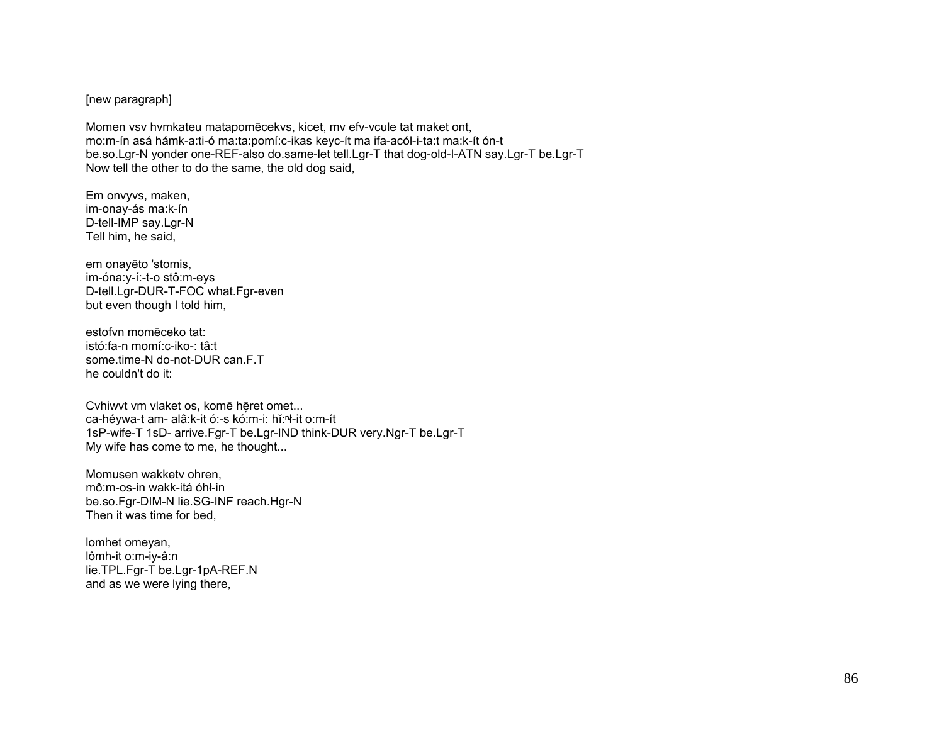[new paragraph]

Momen vsv hvmkateu matapomēcekvs, kicet, mv efv-vcule tat maket ont, mo:m-ín asá hámk-a:ti-ó ma:ta:pomí:c-ikas keyc-ít ma ifa-acól-i-ta:t ma:k-ít ón-t be.so.Lgr-N yonder one-REF-also do.same-let tell.Lgr-T that dog-old-I-ATN say.Lgr-T be.Lgr-T Now tell the other to do the same, the old dog said,

Em onvyvs, maken, im-onay-ás ma:k-ín D-tell-IMP say.Lgr-N Tell him, he said,

em onayēto 'stomis, im-óna: y-í:-t-o stô: m-eys D-tell.Lgr-DUR-T-FOC what.Fgr-even but even though I told him,

estofyn momēceko tat: istó:fa-n momí:c-iko-: tâ:t some.time-N do-not-DUR can.F.T he couldn't do it:

Cvhiwvt vm vlaket os, komē hēret omet... ca-héywa-t am- alâ:k-it ó:-s kó:m-i: hĭ:<sup>n</sup>ł-it o:m-ít 1sP-wife-T 1sD- arrive.Fgr-T be.Lgr-IND think-DUR very.Ngr-T be.Lgr-T My wife has come to me, he thought...

Momusen wakkety ohren. mô:m-os-in wakk-itá óhł-in be.so.Fgr-DIM-N lie.SG-INF reach.Hgr-N Then it was time for bed.

lomhet omeyan, lômh-it o:m-iy-â:n lie.TPL.Fgr-T be.Lgr-1pA-REF.N and as we were lying there,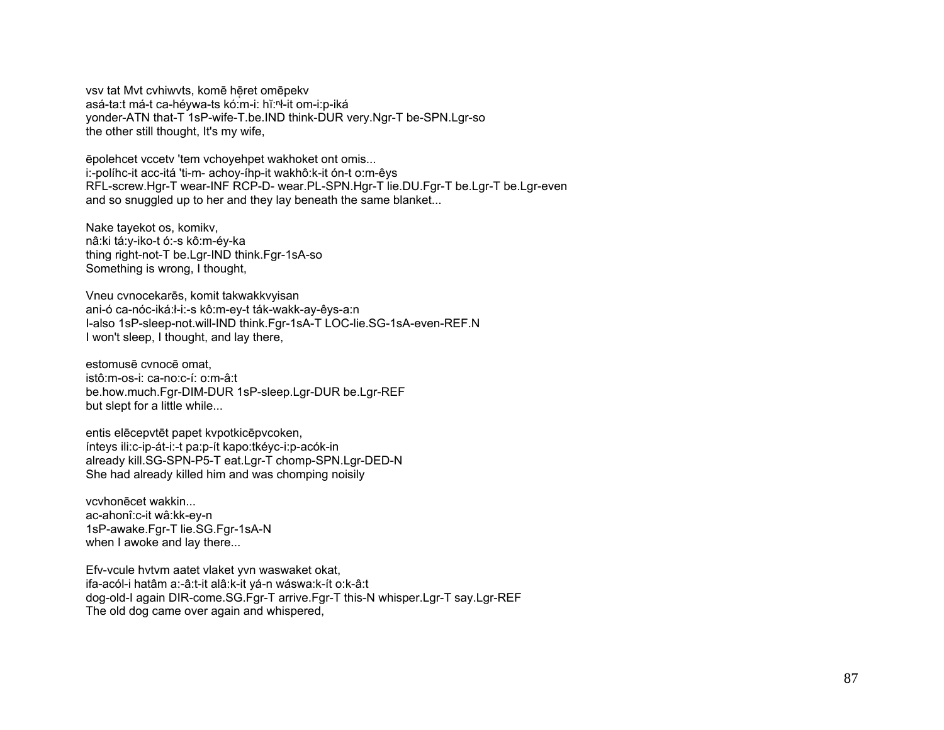vsv tat Myt cyhiwyts, komē hēret omēpekv asá-ta:t má-t ca-héywa-ts kó:m-i: hǐ:<sup>n</sup>ł-it om-i:p-iká yonder-ATN that-T 1sP-wife-T.be.IND think-DUR very.Ngr-T be-SPN.Lgr-so the other still thought, It's my wife,

epolehcet vccety 'tem vchovehpet wakhoket ont omis... i:-políhc-it acc-itá 'ti-m- achoy-íhp-it wakhô:k-it ón-t o:m-êys RFL-screw.Hgr-T wear-INF RCP-D- wear.PL-SPN.Hgr-T lie.DU.Fgr-T be.Lgr-T be.Lgr-even and so snuggled up to her and they lay beneath the same blanket...

Nake tayekot os, komikv, nâ:ki tá:y-iko-t ó:-s kô:m-éy-ka thing right-not-T be.Lgr-IND think.Fgr-1sA-so Something is wrong, I thought,

Vneu cvnocekarēs, komit takwakkvyisan ani-ó ca-nóc-iká:ł-i:-s kô:m-ey-t ták-wakk-ay-êys-a:n I-also 1sP-sleep-not.will-IND think.Fgr-1sA-T LOC-lie.SG-1sA-even-REF.N I won't sleep. I thought, and lay there.

estomusē cynocē omat. istô:m-os-i: ca-no:c-í: o:m-â:t be.how.much.Fgr-DIM-DUR 1sP-sleep.Lgr-DUR be.Lgr-REF but slept for a little while...

entis elēcepvtēt papet kvpotkicēpvcoken, ínteys ili:c-ip-át-i:-t pa:p-ít kapo:tkéyc-i:p-acók-in already kill.SG-SPN-P5-T eat.Lgr-T chomp-SPN.Lgr-DED-N She had already killed him and was chomping noisily

vcyhonēcet wakkin... ac-ahonî:c-it wâ:kk-ey-n 1sP-awake.Fgr-T lie.SG.Fgr-1sA-N when I awoke and lay there...

Efv-vcule hytym aatet vlaket yvn waswaket okat, ifa-acól-i hatâm a:-â:t-it alâ:k-it vá-n wáswa:k-ít o:k-â:t dog-old-I again DIR-come.SG.Fgr-T arrive.Fgr-T this-N whisper.Lgr-T say.Lgr-REF The old dog came over again and whispered,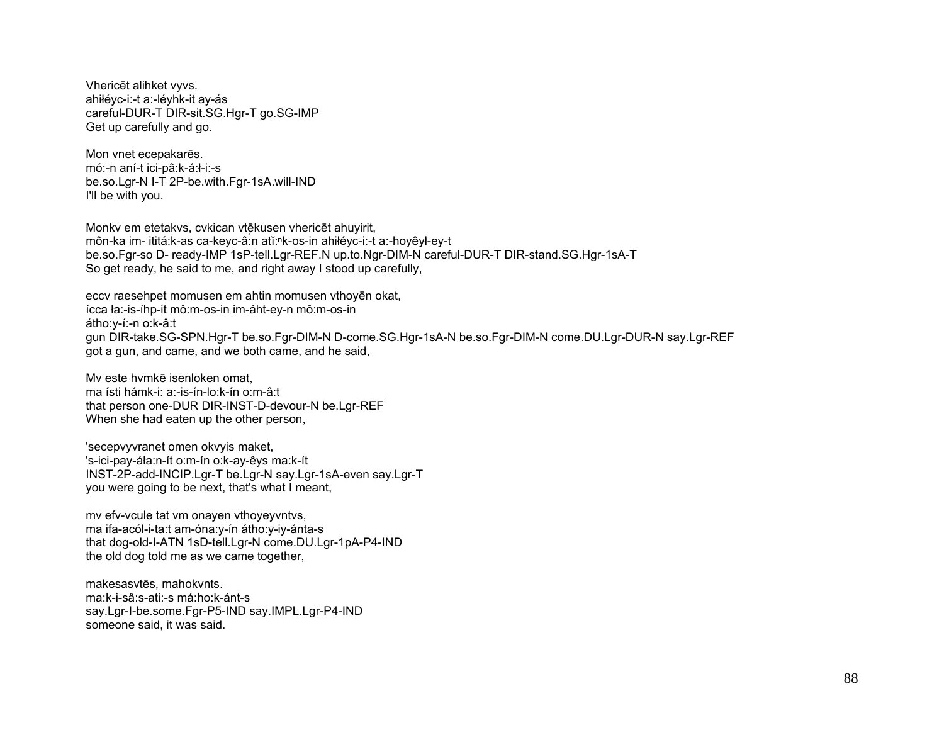Vhericēt alihket vyvs. ahiłéyc-i:-t a:-léyhk-it ay-ás careful-DUR-T DIR-sit.SG.Hgr-T go.SG-IMP Get up carefully and go.

Mon vnet ecepakarēs. mó:-n aní-t ici-pâ:k-á:ł-i:-s be.so.Lgr-N I-T 2P-be.with.Fgr-1sA.will-IND I'll be with you.

Monkv em etetakvs, cvkican vtēkusen vhericēt ahuyirit, môn-ka im- ititá:k-as ca-keyc-â:n atĭ:<sup>n</sup>k-os-in ahiłéyc-i:-t a:-hoyêył-ey-t be.so.Fgr-so D- ready-IMP 1sP-tell.Lgr-REF.N up.to.Ngr-DIM-N careful-DUR-T DIR-stand.SG.Hgr-1sA-T So get ready, he said to me, and right away I stood up carefully,

eccv raesehpet momusen em ahtin momusen vthoyen okat, ícca ła:-is-íhp-it mô:m-os-in im-áht-ey-n mô:m-os-in átho:v-í:-n o:k-â:t gun DIR-take.SG-SPN.Hgr-T be.so.Fgr-DIM-N D-come.SG.Hgr-1sA-N be.so.Fgr-DIM-N come.DU.Lgr-DUR-N say.Lgr-REF got a gun, and came, and we both came, and he said,

My este hymkē isenloken omat. ma ísti hámk-i: a:-is-ín-lo:k-ín o:m-â:t that person one-DUR DIR-INST-D-devour-N be.Lqr-REF When she had eaten up the other person,

'secepvyvranet omen okvyis maket, 's-ici-pay-áła:n-ít o:m-ín o:k-ay-êys ma:k-ít INST-2P-add-INCIP.Lgr-T be.Lgr-N say.Lgr-1sA-even say.Lgr-T you were going to be next, that's what I meant,

my efv-ycule tat ym onayen ythoyeyyntys, ma ifa-acól-i-ta:t am-óna:y-ín átho:y-iy-ánta-s that dog-old-I-ATN 1sD-tell.Lgr-N come.DU.Lgr-1pA-P4-IND the old dog told me as we came together,

makesasytēs, mahokynts. ma:k-i-sâ:s-ati:-s má:ho:k-ánt-s say.Lgr-l-be.some.Fgr-P5-IND say.IMPL.Lgr-P4-IND someone said, it was said.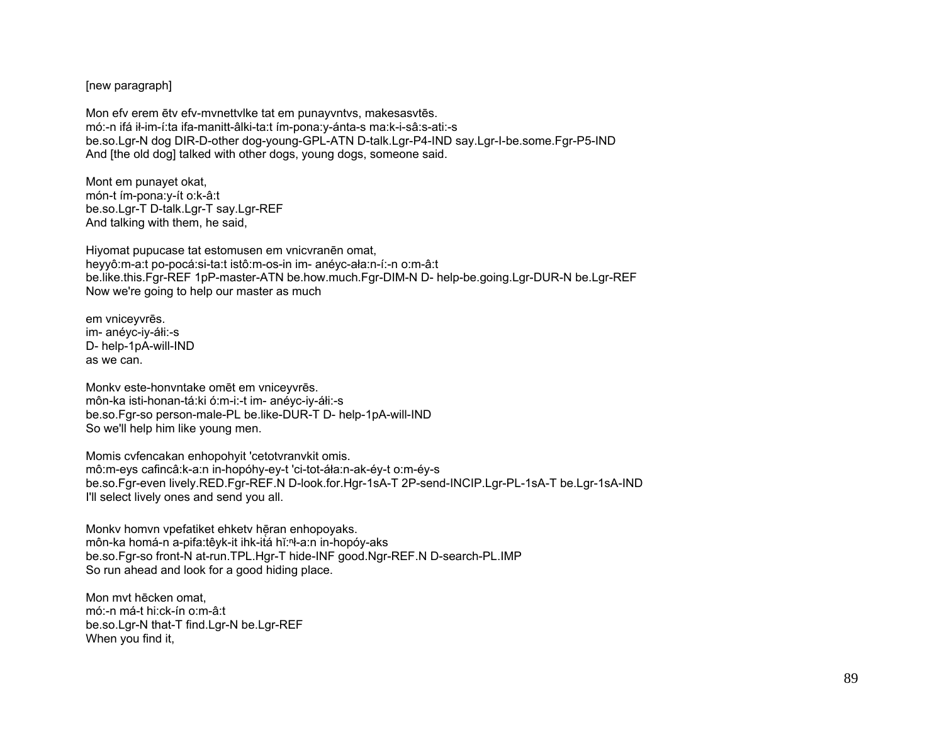[new paragraph]

Mon efv erem ētv efv-mvnettvlke tat em punayvntvs, makesasvtēs. mó:-n ifá ił-im-í:ta ifa-manitt-âlki-ta:t ím-pona:y-ánta-s ma:k-i-sâ:s-ati:-s be.so.Lgr-N dog DIR-D-other dog-young-GPL-ATN D-talk.Lgr-P4-IND say.Lgr-I-be.some.Fgr-P5-IND And [the old dog] talked with other dogs, young dogs, someone said.

Mont em punayet okat, món-t ím-pona:y-ít o:k-â:t be.so.Lgr-T D-talk.Lgr-T say.Lgr-REF And talking with them, he said,

Hiyomat pupucase tat estomusen em vnicvranēn omat, heyyô:m-a:t po-pocá:si-ta:t istô:m-os-in im- anéyc-ała:n-í:-n o:m-â:t be.like.this.Fgr-REF 1pP-master-ATN be.how.much.Fgr-DIM-N D- help-be.going.Lgr-DUR-N be.Lgr-REF Now we're going to help our master as much

em vniceyvrēs. im- anéyc-iy-áłi:-s D- help-1pA-will-IND as we can.

Monkv este-honvntake omēt em vniceyvrēs. môn-ka isti-honan-tá:ki ó:m-i:-t im- anéyc-iy-áłi:-s be.so.Fgr-so person-male-PL be.like-DUR-T D- help-1pA-will-IND So we'll help him like young men.

Momis cvfencakan enhopohyit 'cetotvranvkit omis. mô:m-eys cafincâ:k-a:n in-hopóhy-ey-t 'ci-tot-áła:n-ak-éy-t o:m-éy-s be.so.Fgr-even lively.RED.Fgr-REF.N D-look.for.Hgr-1sA-T 2P-send-INCIP.Lgr-PL-1sA-T be.Lgr-1sA-IND I'll select lively ones and send you all.

Monky homvn vpefatiket ehkety hēran enhopoyaks. môn-ka homá-n a-pifa:têyk-it ihk-itá hĭ:ⁿł-a:n in-hopóy-aks be.so.Fgr-so front-N at-run.TPL.Hgr-T hide-INF good.Ngr-REF.N D-search-PL.IMP So run ahead and look for a good hiding place.

Mon mvt hēcken omat, mó:-n má-t hi:ck-ín o:m-â:t be.so.Lgr-N that-T find.Lgr-N be.Lgr-REF When you find it,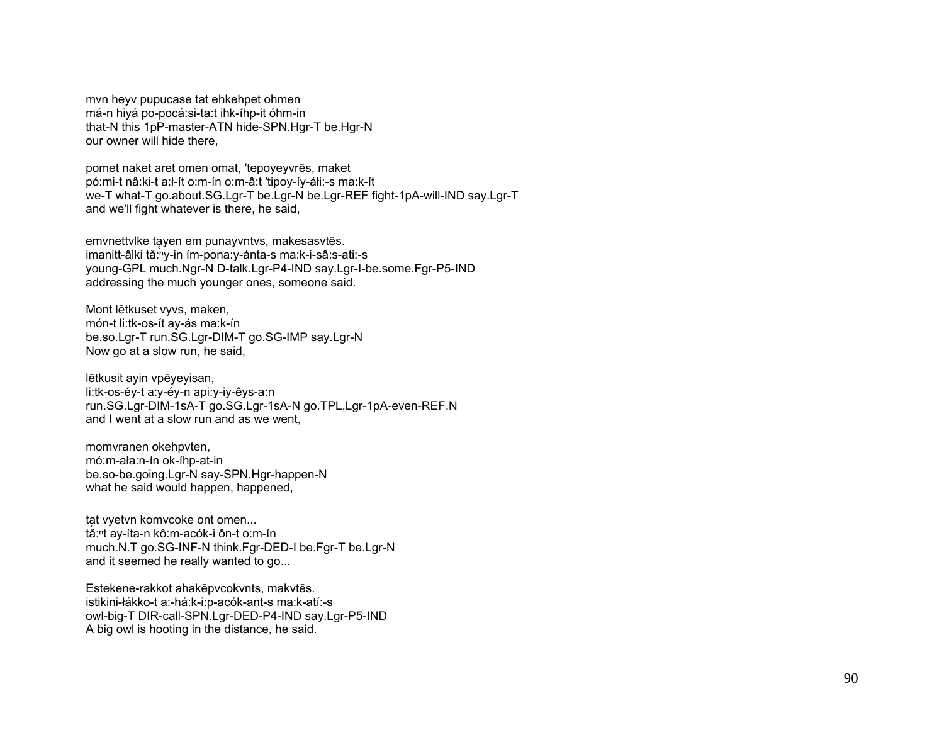myn heyv pupucase tat ehkehpet ohmen má-n hivá po-pocá:si-ta:t ihk-íhp-it óhm-in that-N this 1pP-master-ATN hide-SPN.Hgr-T be.Hgr-N our owner will hide there.

pomet naket aret omen omat, 'tepoyeyvres, maket pó:mi-t nâ:ki-t a:l-ít o:m-ín o:m-â:t 'tipoy-íy-áli:-s ma:k-ít we-T what-T go.about.SG.Lgr-T be.Lgr-N be.Lgr-REF fight-1pA-will-IND say.Lgr-T and we'll fight whatever is there, he said,

emvnettvike tayen em punayvntvs, makesasvtēs. imanitt-âlki tă:<sup>n</sup>y-in ím-pona: y-ánta-s ma: k-i-sâ: s-ati:-s young-GPL much.Ngr-N D-talk.Lgr-P4-IND say.Lgr-I-be.some.Fgr-P5-IND addressing the much younger ones, someone said.

Mont lētkuset vyvs, maken, món-t li:tk-os-ít av-ás ma:k-ín be.so.Lgr-T run.SG.Lgr-DIM-T go.SG-IMP say.Lgr-N Now go at a slow run, he said,

lētkusit ayin vpēyeyisan, li:tk-os-éy-t a:y-éy-n api:y-iy-êys-a:n run.SG.Lgr-DIM-1sA-T go.SG.Lgr-1sA-N go.TPL.Lgr-1pA-even-REF.N and I went at a slow run and as we went.

momvranen okehpvten, mó:m-ała:n-ín ok-íhp-at-in be.so-be.going.Lgr-N say-SPN.Hgr-happen-N what he said would happen, happened,

tat vyetvn komvcoke ont omen... tắ:<sup>n</sup>t ay-íta-n kô:m-acók-i ôn-t o:m-ín much.N.T go.SG-INF-N think.Fgr-DED-I be.Fgr-T be.Lgr-N and it seemed he really wanted to go...

Estekene-rakkot ahakēpvcokvnts, makvtēs. istikini-łákko-t a:-há:k-i:p-acók-ant-s ma:k-atí:-s owl-big-T DIR-call-SPN.Lgr-DED-P4-IND say.Lgr-P5-IND A big owl is hooting in the distance, he said.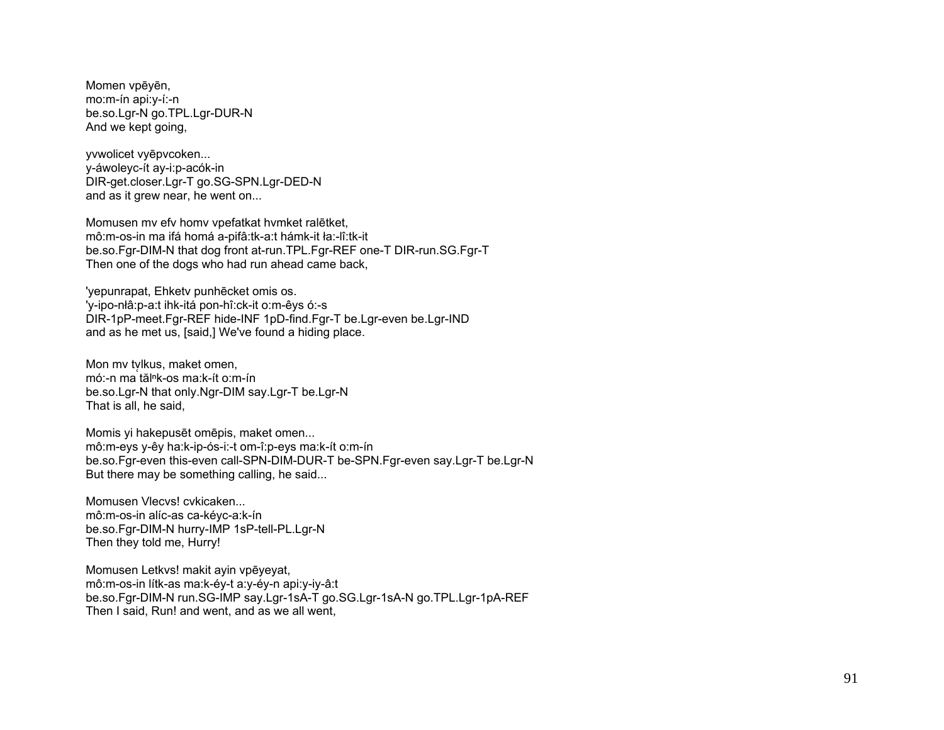Momen vpēyēn, mo:m-ín api:y-í:-n be.so.Lgr-N go.TPL.Lgr-DUR-N And we kept going,

vvwolicet vvēpvcoken... y-áwoleyc-ít ay-i:p-acók-in DIR-get.closer.Lgr-T go.SG-SPN.Lgr-DED-N and as it grew near, he went on...

Momusen mv efv homv vpefatkat hvmket ralētket, mô:m-os-in ma ifá homá a-pifâ:tk-a:t hámk-it ła:-lî:tk-it be.so.Fgr-DIM-N that dog front at-run.TPL.Fgr-REF one-T DIR-run.SG.Fgr-T Then one of the dogs who had run ahead came back,

'yepunrapat, Ehketv punhēcket omis os. 'y-ipo-nłâ:p-a:t ihk-itá pon-hî:ck-it o:m-êys ó:-s DIR-1pP-meet.Fgr-REF hide-INF 1pD-find.Fgr-T be.Lgr-even be.Lgr-IND and as he met us, [said,] We've found a hiding place.

Mon my tylkus, maket omen, mó:-n ma tăl<sup>n</sup>k-os ma:k-ít o:m-ín be.so.Lgr-N that only.Ngr-DIM say.Lgr-T be.Lgr-N That is all, he said,

Momis yi hakepusēt omēpis, maket omen... mô:m-eys y-êy ha:k-ip-ós-i:-t om-î:p-eys ma:k-ít o:m-ín be so Fgr-even this-even call-SPN-DIM-DUR-T be-SPN Fgr-even say Lgr-T be Lgr-N But there may be something calling, he said...

Momusen Vlecvs! cvkicaken... mô:m-os-in alíc-as ca-kéyc-a:k-ín be.so.Fqr-DIM-N hurry-IMP 1sP-tell-PL.Lqr-N Then they told me, Hurry!

Momusen Letkys! makit ayin vpēvevat. mô:m-os-in lítk-as ma:k-éy-t a:y-éy-n api:y-iy-â:t be.so.Fgr-DIM-N run.SG-IMP say.Lgr-1sA-T go.SG.Lgr-1sA-N go.TPL.Lgr-1pA-REF Then I said, Run! and went, and as we all went,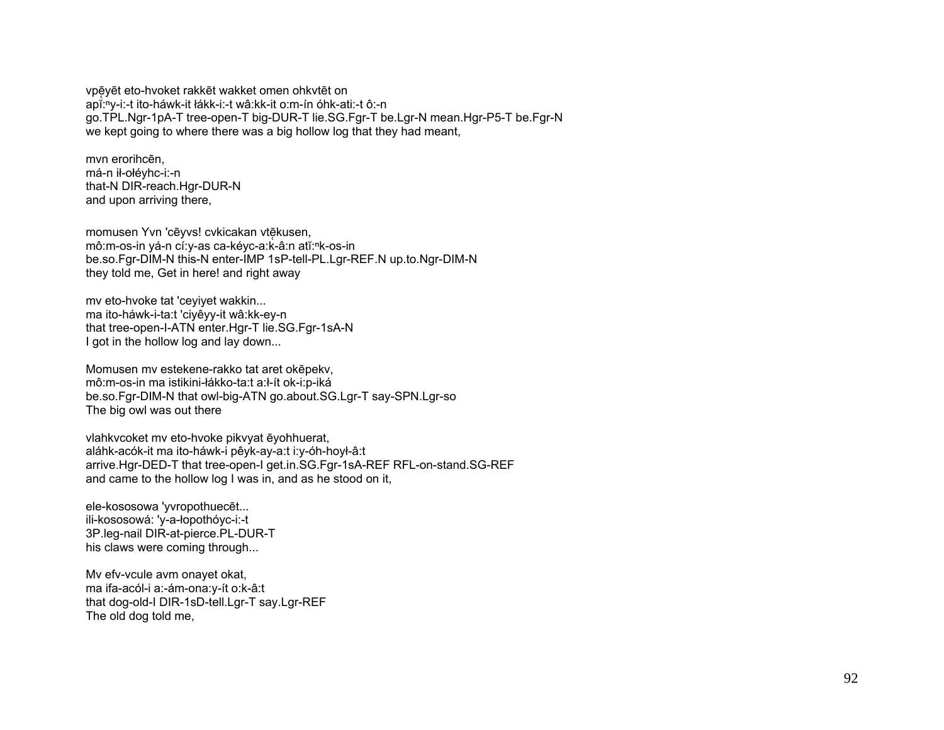vpē̜yēt eto-hvoket rakkēt wakket omen ohkvtēt on apĭ:<sup>ⁿ</sup>y-i:-t ito-háwk-it łákk-i:-t wâ:kk-it o:m-ín óhk-ati:-t ô:-n go.TPL.Ngr-1pA-T tree-open-T big-DUR-T lie.SG.Fgr-T be.Lgr-N mean.Hgr-P5-T be.Fgr-N we kept going to where there was a big hollow log that they had meant,

mvn erorihcēn, má-n ił-ołéyhc-i:-n that-N DIR-reach.Hgr-DUR-N and upon arriving there,

momusen Yvn 'cēyvs! cvkicakan vtēkusen, mô:m-os-in yá-n cí:y-as ca-kéyc-a:k-â:n atĭ:<sup>ⁿ</sup>k-os-in be.so.Fgr-DIM-N this-N enter-IMP 1sP-tell-PL.Lgr-REF.N up.to.Ngr-DIM-N they told me, Get in here! and right away

mv eto-hvoke tat 'ceyiyet wakkin... ma ito-háwk-i-ta:t 'ciyêyy-it wâ:kk-ey-n that tree-open-I-ATN enter.Hgr-T lie.SG.Fgr-1sA-N I got in the hollow log and lay down...

Momusen mv estekene-rakko tat aret okēpekv, mô:m-os-in ma istikini-łákko-ta:t a:ł-ít ok-i:p-iká be.so.Fgr-DIM-N that owl-big-ATN go.about.SG.Lgr-T say-SPN.Lgr-so The big owl was out there

vlahkvcoket mv eto-hvoke pikvyat ēyohhuerat, aláhk-acók-it ma ito-háwk-i pêyk-ay-a:t i:y-óh-hoył-â:t arrive.Hgr-DED-T that tree-open-I get.in.SG.Fgr-1sA-REF RFL-on-stand.SG-REF and came to the hollow log I was in, and as he stood on it,

ele-kososowa 'yvropothuecēt... ili-kososowá: 'y-a-łopothóyc-i:-t 3P.leg-nail DIR-at-pierce.PL-DUR-T his claws were coming through...

Mv efv-vcule avm onayet okat, ma ifa-acól-i a:-ám-ona:y-ít o:k-â:t that dog-old-I DIR-1sD-tell.Lgr-T say.Lgr-REF The old dog told me,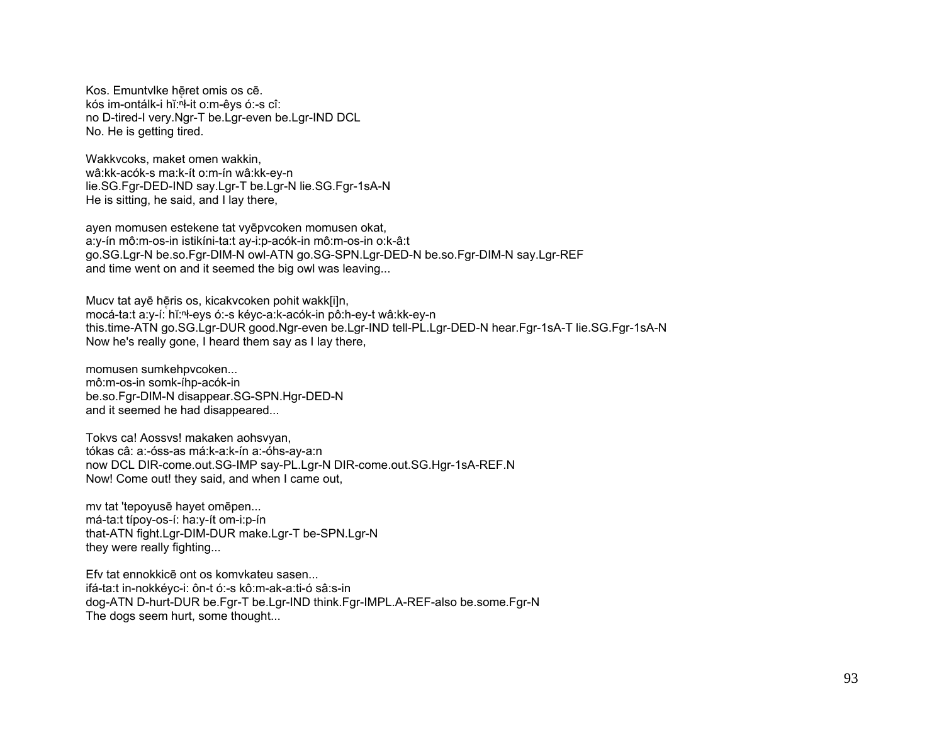Kos. Emuntylke hēret omis os cē. kós im-ontálk-i hĭ: h-it o: m-êys ó:-s cî: no D-tired-I very.Ngr-T be.Lgr-even be.Lgr-IND DCL No. He is getting tired.

Wakkycoks, maket omen wakkin. wâ:kk-acók-s ma:k-ít o:m-ín wâ:kk-ey-n lie.SG.Fgr-DED-IND say.Lgr-T be.Lgr-N lie.SG.Fgr-1sA-N He is sitting, he said, and I lay there,

ayen momusen estekene tat vyēpvcoken momusen okat, a:y-ín mô:m-os-in istikíni-ta:t ay-i:p-acók-in mô:m-os-in o:k-â:t go.SG.Lgr-N be.so.Fgr-DIM-N owl-ATN go.SG-SPN.Lgr-DED-N be.so.Fgr-DIM-N say.Lgr-REF and time went on and it seemed the big owl was leaving...

Mucy tat ayē hēris os, kicakycoken pohit wakklijn, mocá-ta:t a:y-í: hǐ:<sup>n</sup>ł-eys ó:-s kéyc-a:k-acók-in pô:h-ey-t wâ:kk-ey-n this.time-ATN go.SG.Lgr-DUR good.Ngr-even be.Lgr-IND tell-PL.Lgr-DED-N hear.Fgr-1sA-T lie.SG.Fgr-1sA-N Now he's really gone, I heard them say as I lay there,

momusen sumkehpycoken... mô:m-os-in somk-íhp-acók-in be.so.Fgr-DIM-N disappear.SG-SPN.Hgr-DED-N and it seemed he had disappeared...

Tokys ca! Aossys! makaken aohsvyan, tókas câ: a:-óss-as má:k-a:k-ín a:-óhs-ay-a:n now DCL DIR-come.out.SG-IMP say-PL.Lgr-N DIR-come.out.SG.Hgr-1sA-REF.N Now! Come out! they said, and when I came out,

my tat 'tepovusē havet omēpen... má-ta:t típoy-os-í: ha:y-ít om-i:p-ín that-ATN fight.Lgr-DIM-DUR make.Lgr-T be-SPN.Lgr-N they were really fighting...

Efv tat ennokkice ont os komvkateu sasen... ifá-ta:t in-nokkéyc-i: ôn-t ó:-s kô:m-ak-a:ti-ó sâ:s-in dog-ATN D-hurt-DUR be.Fgr-T be.Lgr-IND think.Fgr-IMPL.A-REF-also be.some.Fgr-N The dogs seem hurt, some thought...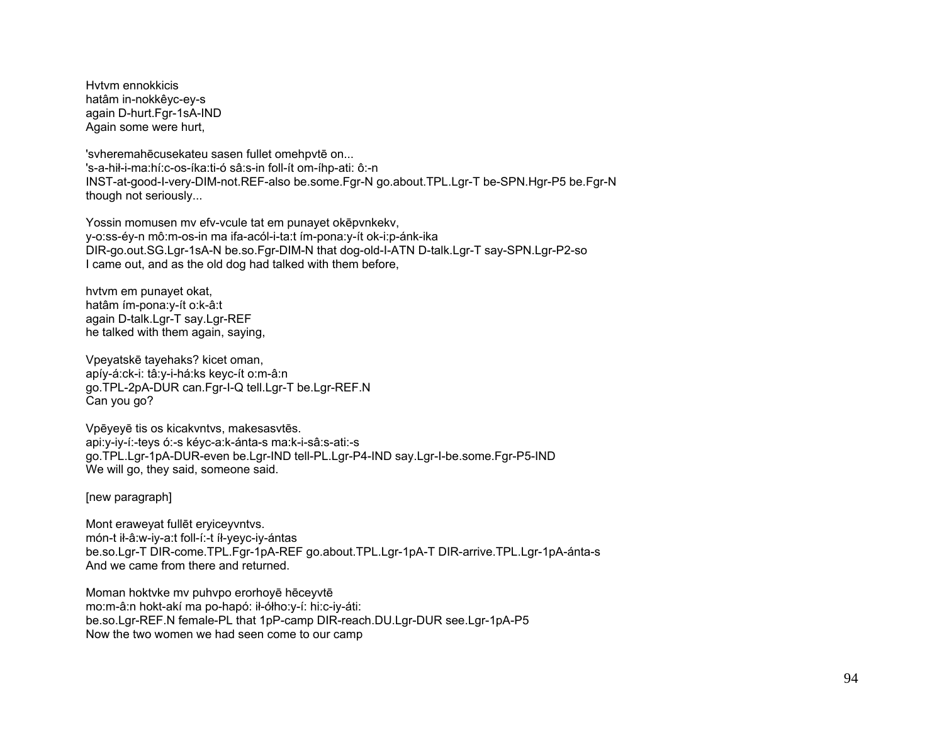Hvtvm ennokkicis hatâm in-nokkêyc-ey-s again D-hurt.Fgr-1sA-IND Again some were hurt,

'svheremahēcusekateu sasen fullet omehpvtē on...

's-a-hił-i-ma:hí:c-os-íka:ti-ó sâ:s-in foll-ít om-íhp-ati: ô:-n INST-at-good-I-very-DIM-not.REF-also be.some.Fgr-N go.about.TPL.Lgr-T be-SPN.Hgr-P5 be.Fgr-N though not seriously...

Yossin momusen mv efv-vcule tat em punayet okēpvnkekv, y-o:ss-éy-n mô:m-os-in ma ifa-acól-i-ta:t ím-pona:y-ít ok-i:p-ánk-ika DIR-go.out.SG.Lgr-1sA-N be.so.Fgr-DIM-N that dog-old-I-ATN D-talk.Lgr-T say-SPN.Lgr-P2-so I came out, and as the old dog had talked with them before,

hvtvm em punayet okat, hatâm ím-pona:y-ít o:k-â:t again D-talk.Lgr-T say.Lgr-REF he talked with them again, saying,

Vpeyatskē tayehaks? kicet oman, apíy-á:ck-i: tâ:y-i-há:ks keyc-ít o:m-â:n go.TPL-2pA-DUR can.Fgr-I-Q tell.Lgr-T be.Lgr-REF.N Can you go?

Vpēyeyē tis os kicakvntvs, makesasvtēs. api:y-iy-í:-teys ó:-s kéyc-a:k-ánta-s ma:k-i-sâ:s-ati:-s go.TPL.Lgr-1pA-DUR-even be.Lgr-IND tell-PL.Lgr-P4-IND say.Lgr-I-be.some.Fgr-P5-IND We will go, they said, someone said.

[new paragraph]

Mont eraweyat fullēt eryiceyvntvs. món-t ił-â:w-iy-a:t foll-í:-t íł-yeyc-iy-ántas be.so.Lgr-T DIR-come.TPL.Fgr-1pA-REF go.about.TPL.Lgr-1pA-T DIR-arrive.TPL.Lgr-1pA-ánta-s And we came from there and returned.

Moman hoktvke mv puhvpo erorhoyē hēceyvtē mo:m-â:n hokt-akí ma po-hapó: ił-ółho:y-í: hi:c-iy-áti: be.so.Lgr-REF.N female-PL that 1pP-camp DIR-reach.DU.Lgr-DUR see.Lgr-1pA-P5 Now the two women we had seen come to our camp